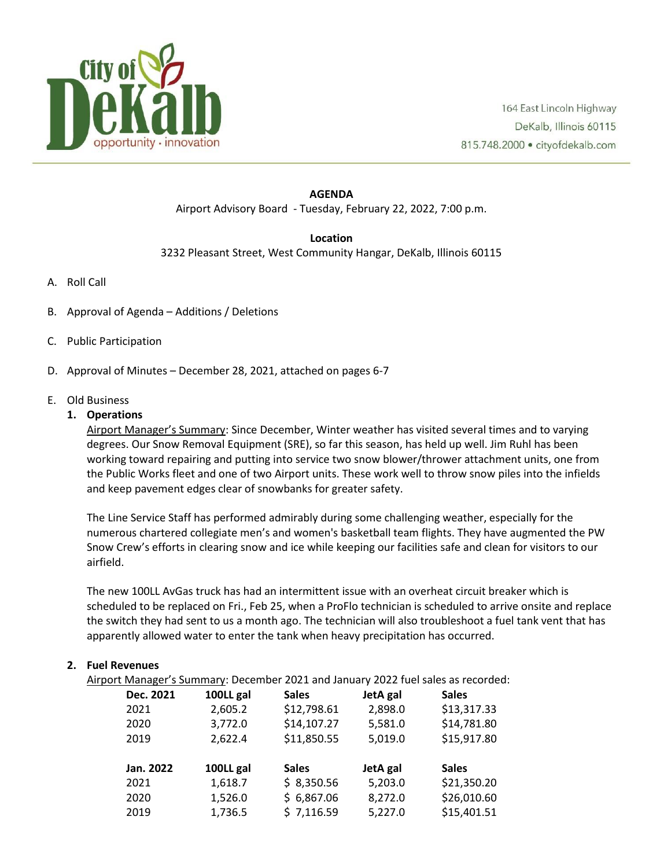

## **AGENDA** Airport Advisory Board - Tuesday, February 22, 2022, 7:00 p.m.

#### **Location**

3232 Pleasant Street, West Community Hangar, DeKalb, Illinois 60115

- A. Roll Call
- B. Approval of Agenda Additions / Deletions
- C. Public Participation
- D. Approval of Minutes December 28, 2021, attached on pages 6-7
- E. Old Business

# **1. Operations**

Airport Manager's Summary: Since December, Winter weather has visited several times and to varying degrees. Our Snow Removal Equipment (SRE), so far this season, has held up well. Jim Ruhl has been working toward repairing and putting into service two snow blower/thrower attachment units, one from the Public Works fleet and one of two Airport units. These work well to throw snow piles into the infields and keep pavement edges clear of snowbanks for greater safety.

The Line Service Staff has performed admirably during some challenging weather, especially for the numerous chartered collegiate men's and women's basketball team flights. They have augmented the PW Snow Crew's efforts in clearing snow and ice while keeping our facilities safe and clean for visitors to our airfield.

The new 100LL AvGas truck has had an intermittent issue with an overheat circuit breaker which is scheduled to be replaced on Fri., Feb 25, when a ProFlo technician is scheduled to arrive onsite and replace the switch they had sent to us a month ago. The technician will also troubleshoot a fuel tank vent that has apparently allowed water to enter the tank when heavy precipitation has occurred.

# **2. Fuel Revenues**

Airport Manager's Summary: December 2021 and January 2022 fuel sales as recorded:

| Dec. 2021 | 100LL gal | <b>Sales</b> | JetA gal | <b>Sales</b> |
|-----------|-----------|--------------|----------|--------------|
| 2021      | 2,605.2   | \$12,798.61  | 2,898.0  | \$13,317.33  |
| 2020      | 3,772.0   | \$14,107.27  | 5,581.0  | \$14,781.80  |
| 2019      | 2,622.4   | \$11,850.55  | 5,019.0  | \$15,917.80  |
|           |           |              |          |              |
|           |           |              |          |              |
| Jan. 2022 | 100LL gal | <b>Sales</b> | JetA gal | <b>Sales</b> |
| 2021      | 1,618.7   | \$8,350.56   | 5,203.0  | \$21,350.20  |
| 2020      | 1,526.0   | \$6,867.06   | 8,272.0  | \$26,010.60  |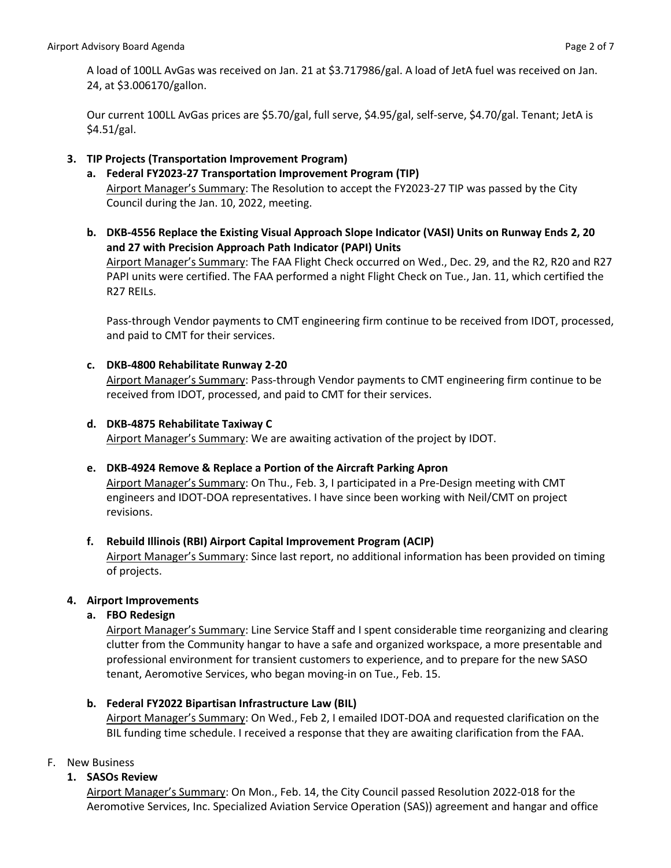A load of 100LL AvGas was received on Jan. 21 at \$3.717986/gal. A load of JetA fuel was received on Jan. 24, at \$3.006170/gallon.

Our current 100LL AvGas prices are \$5.70/gal, full serve, \$4.95/gal, self-serve, \$4.70/gal. Tenant; JetA is \$4.51/gal.

# **3. TIP Projects (Transportation Improvement Program)**

- **a. Federal FY2023-27 Transportation Improvement Program (TIP)** Airport Manager's Summary: The Resolution to accept the FY2023-27 TIP was passed by the City Council during the Jan. 10, 2022, meeting.
- **b. DKB-4556 Replace the Existing Visual Approach Slope Indicator (VASI) Units on Runway Ends 2, 20 and 27 with Precision Approach Path Indicator (PAPI) Units** Airport Manager's Summary: The FAA Flight Check occurred on Wed., Dec. 29, and the R2, R20 and R27 PAPI units were certified. The FAA performed a night Flight Check on Tue., Jan. 11, which certified the R27 REILs.

Pass-through Vendor payments to CMT engineering firm continue to be received from IDOT, processed, and paid to CMT for their services.

#### **c. DKB-4800 Rehabilitate Runway 2-20**

Airport Manager's Summary: Pass-through Vendor payments to CMT engineering firm continue to be received from IDOT, processed, and paid to CMT for their services.

# **d. DKB-4875 Rehabilitate Taxiway C**

Airport Manager's Summary: We are awaiting activation of the project by IDOT.

# **e. DKB-4924 Remove & Replace a Portion of the Aircraft Parking Apron**

Airport Manager's Summary: On Thu., Feb. 3, I participated in a Pre-Design meeting with CMT engineers and IDOT-DOA representatives. I have since been working with Neil/CMT on project revisions.

#### **f. Rebuild Illinois (RBI) Airport Capital Improvement Program (ACIP)**

Airport Manager's Summary: Since last report, no additional information has been provided on timing of projects.

#### **4. Airport Improvements**

# **a. FBO Redesign**

Airport Manager's Summary: Line Service Staff and I spent considerable time reorganizing and clearing clutter from the Community hangar to have a safe and organized workspace, a more presentable and professional environment for transient customers to experience, and to prepare for the new SASO tenant, Aeromotive Services, who began moving-in on Tue., Feb. 15.

# **b. Federal FY2022 Bipartisan Infrastructure Law (BIL)**

Airport Manager's Summary: On Wed., Feb 2, I emailed IDOT-DOA and requested clarification on the BIL funding time schedule. I received a response that they are awaiting clarification from the FAA.

# F. New Business

#### **1. SASOs Review**

Airport Manager's Summary: On Mon., Feb. 14, the City Council passed Resolution 2022-018 for the Aeromotive Services, Inc. Specialized Aviation Service Operation (SAS)) agreement and hangar and office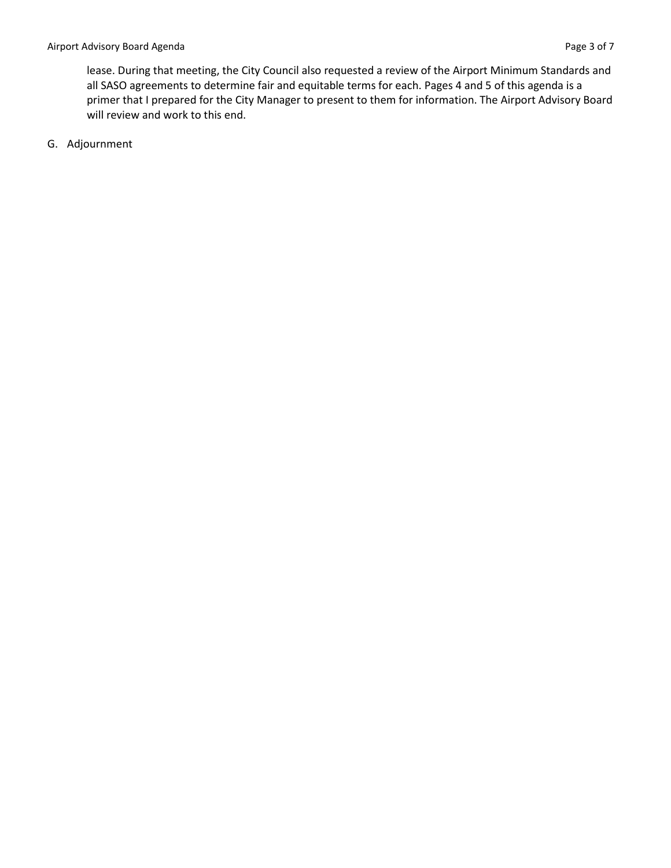lease. During that meeting, the City Council also requested a review of the Airport Minimum Standards and all SASO agreements to determine fair and equitable terms for each. Pages 4 and 5 of this agenda is a primer that I prepared for the City Manager to present to them for information. The Airport Advisory Board will review and work to this end.

G. Adjournment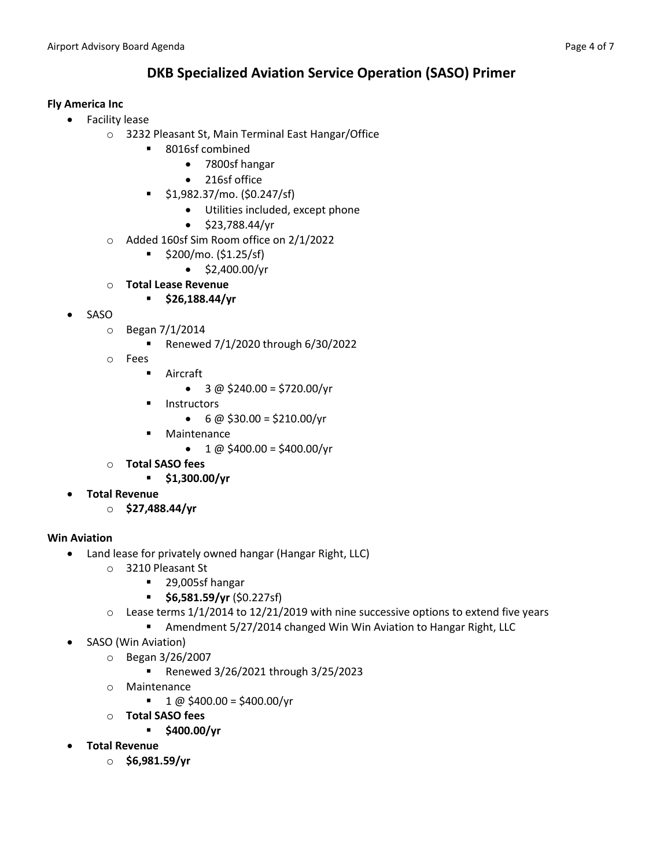# **DKB Specialized Aviation Service Operation (SASO) Primer**

# **Fly America Inc**

- Facility lease
	- o 3232 Pleasant St, Main Terminal East Hangar/Office
		- 8016sf combined
			- 7800sf hangar
			- 216sf office
		- \$1,982.37/mo. (\$0.247/sf)
			- Utilities included, except phone
			- \$23,788.44/yr
	- o Added 160sf Sim Room office on 2/1/2022
		- \$200/mo. (\$1.25/sf)
			- $\bullet$  \$2,400.00/yr
	- o **Total Lease Revenue**
		- **\$26,188.44/yr**
- SASO
	- o Began 7/1/2014
		- Renewed 7/1/2020 through 6/30/2022
	- o Fees
		- Aircraft
			- $3 \omega$  \$240.00 = \$720.00/yr
		- Instructors
			- $6 \omega$  \$30.00 = \$210.00/yr
		- Maintenance
			- $1 \text{ @ } $400.00 = $400.00/\text{yr}$
	- o **Total SASO fees**
		- **\$1,300.00/yr**
- **Total Revenue**
	- o **\$27,488.44/yr**

# **Win Aviation**

- Land lease for privately owned hangar (Hangar Right, LLC)
	- o 3210 Pleasant St
		- 29,005sf hangar
		- **\$6,581.59/yr** (\$0.227sf)
	- $\circ$  Lease terms 1/1/2014 to 12/21/2019 with nine successive options to extend five years
		- Amendment 5/27/2014 changed Win Win Aviation to Hangar Right, LLC
- SASO (Win Aviation)
	- o Began 3/26/2007
		- Renewed 3/26/2021 through 3/25/2023
	- o Maintenance
		- $\blacksquare$  1 @ \$400.00 = \$400.00/yr
	- o **Total SASO fees**
		- **\$400.00/yr**
- **Total Revenue**
	- o **\$6,981.59/yr**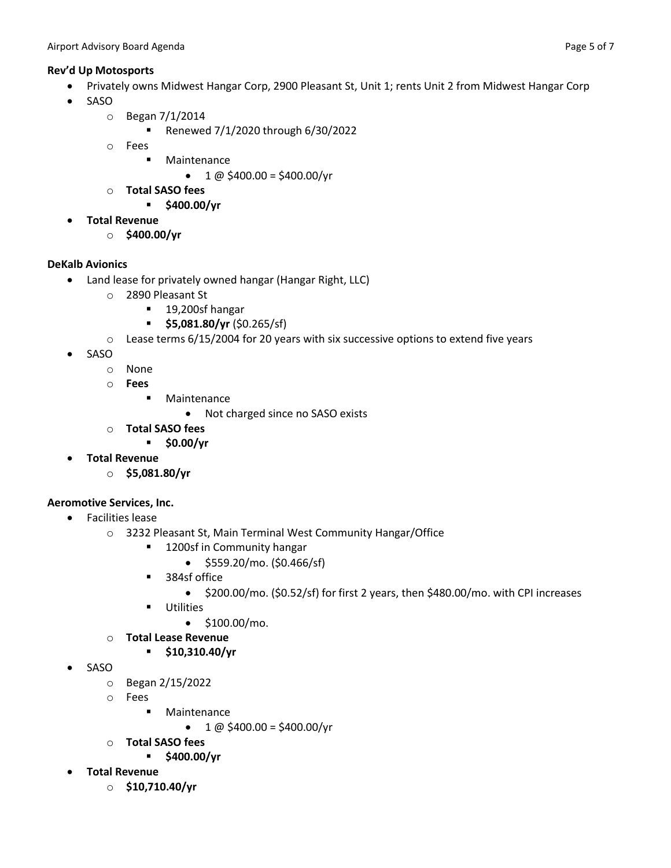# **Rev'd Up Motosports**

- Privately owns Midwest Hangar Corp, 2900 Pleasant St, Unit 1; rents Unit 2 from Midwest Hangar Corp
- SASO
	- o Began 7/1/2014
		- Renewed 7/1/2020 through 6/30/2022
	- o Fees
		- Maintenance
			- $1 \omega$  \$400.00 = \$400.00/yr
	- o **Total SASO fees**
		- **\$400.00/yr**
- **Total Revenue**
	- o **\$400.00/yr**

# **DeKalb Avionics**

- Land lease for privately owned hangar (Hangar Right, LLC)
	- o 2890 Pleasant St
		- 19,200sf hangar
		- **\$5,081.80/yr** (\$0.265/sf)
	- $\circ$  Lease terms 6/15/2004 for 20 years with six successive options to extend five years
- SASO
	- o None
	- o **Fees**
		- Maintenance
			- Not charged since no SASO exists
	- o **Total SASO fees**
		- **\$0.00/yr**
- **Total Revenue**
	- o **\$5,081.80/yr**

#### **Aeromotive Services, Inc.**

- Facilities lease
	- o 3232 Pleasant St, Main Terminal West Community Hangar/Office
		- 1200sf in Community hangar
			- \$559.20/mo. (\$0.466/sf)
		- 384sf office
			- \$200.00/mo. (\$0.52/sf) for first 2 years, then \$480.00/mo. with CPI increases
		- Utilities
			- $\bullet$  \$100.00/mo.
	- o **Total Lease Revenue**
		- **\$10,310.40/yr**
- SASO
	- o Began 2/15/2022
	- o Fees
		- Maintenance
			- $1 \text{ @ } 5400.00 = $400.00/\text{yr}$
	- o **Total SASO fees**
		- **\$400.00/yr**
- **Total Revenue**
	- o **\$10,710.40/yr**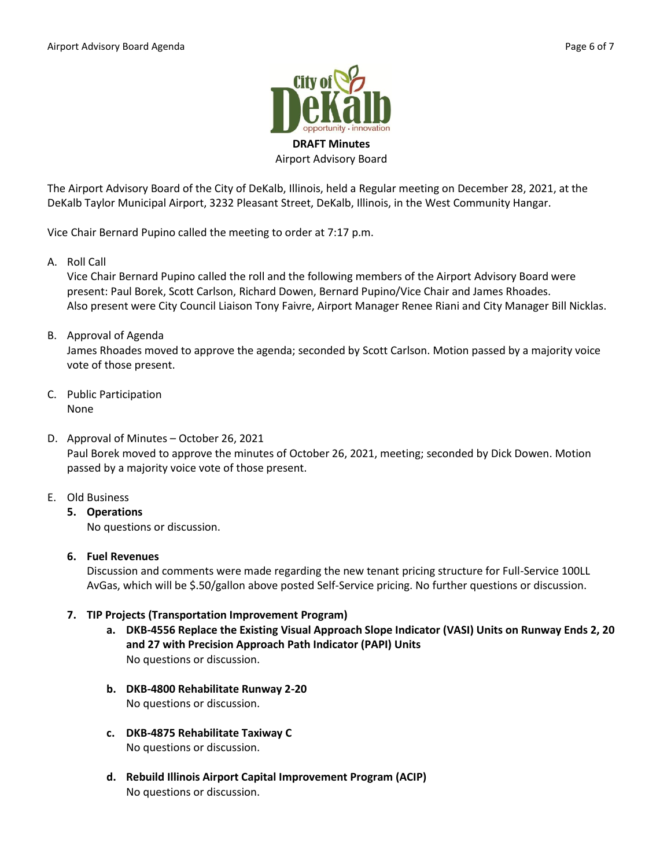

The Airport Advisory Board of the City of DeKalb, Illinois, held a Regular meeting on December 28, 2021, at the DeKalb Taylor Municipal Airport, 3232 Pleasant Street, DeKalb, Illinois, in the West Community Hangar.

Vice Chair Bernard Pupino called the meeting to order at 7:17 p.m.

A. Roll Call

Vice Chair Bernard Pupino called the roll and the following members of the Airport Advisory Board were present: Paul Borek, Scott Carlson, Richard Dowen, Bernard Pupino/Vice Chair and James Rhoades. Also present were City Council Liaison Tony Faivre, Airport Manager Renee Riani and City Manager Bill Nicklas.

B. Approval of Agenda

James Rhoades moved to approve the agenda; seconded by Scott Carlson. Motion passed by a majority voice vote of those present.

- C. Public Participation None
- D. Approval of Minutes October 26, 2021 Paul Borek moved to approve the minutes of October 26, 2021, meeting; seconded by Dick Dowen. Motion passed by a majority voice vote of those present.
- E. Old Business
	- **5. Operations**  No questions or discussion.
	- **6. Fuel Revenues**

Discussion and comments were made regarding the new tenant pricing structure for Full-Service 100LL AvGas, which will be \$.50/gallon above posted Self-Service pricing. No further questions or discussion.

# **7. TIP Projects (Transportation Improvement Program)**

- **a. DKB-4556 Replace the Existing Visual Approach Slope Indicator (VASI) Units on Runway Ends 2, 20 and 27 with Precision Approach Path Indicator (PAPI) Units** No questions or discussion.
- **b. DKB-4800 Rehabilitate Runway 2-20** No questions or discussion.
- **c. DKB-4875 Rehabilitate Taxiway C** No questions or discussion.
- **d. Rebuild Illinois Airport Capital Improvement Program (ACIP)** No questions or discussion.